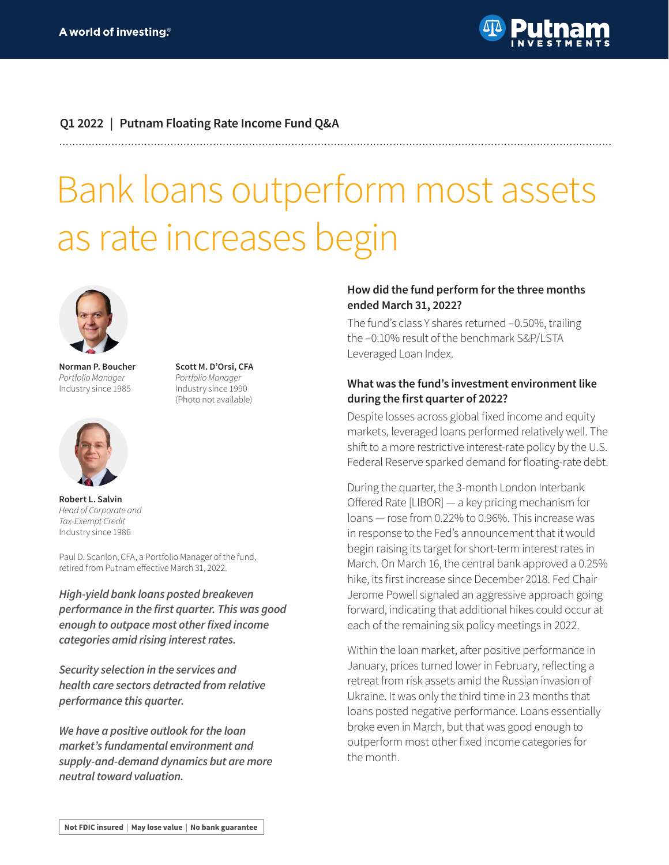

## **Q1 2022 | Putnam Floating Rate Income Fund Q&A**

**Scott M. D'Orsi, CFA** *Portfolio Manager* Industry since 1990 (Photo not available)

# Bank loans outperform most assets as rate increases begin



**Norman P. Boucher** *Portfolio Manager* Industry since 1985



**Robert L. Salvin** *Head of Corporate and Tax-Exempt Credit* Industry since 1986

Paul D. Scanlon, CFA, a Portfolio Manager of the fund, retired from Putnam effective March 31, 2022.

*High-yield bank loans posted breakeven*  **performance in the first quarter. This was good enough to outpace most other fixed income categories amid rising interest rates.**

**Security selection in the services and**  *health care sectors detracted from relative*  **performance this quarter.**

**We have a positive outlook for the loan market's fundamental environment and supply-and-demand dynamics but are more neutral toward valuation.**

## **How did the fund perform for the three months ended March 31, 2022?**

The fund's class Y shares returned –0.50%, trailing the –0.10% result of the benchmark S&P/LSTA Leveraged Loan Index.

### **What was the fund's investment environment like during the first quarter of 2022?**

Despite losses across global fixed income and equity markets, leveraged loans performed relatively well. The shift to a more restrictive interest-rate policy by the U.S. Federal Reserve sparked demand for floating-rate debt.

During the quarter, the 3-month London Interbank Offered Rate [LIBOR] — a key pricing mechanism for loans — rose from 0.22% to 0.96%. This increase was in response to the Fed's announcement that it would begin raising its target for short-term interest rates in March. On March 16, the central bank approved a 0.25% hike, its first increase since December 2018. Fed Chair Jerome Powell signaled an aggressive approach going forward, indicating that additional hikes could occur at each of the remaining six policy meetings in 2022.

Within the loan market, after positive performance in January, prices turned lower in February, reflecting a retreat from risk assets amid the Russian invasion of Ukraine. It was only the third time in 23 months that loans posted negative performance. Loans essentially broke even in March, but that was good enough to outperform most other fixed income categories for the month.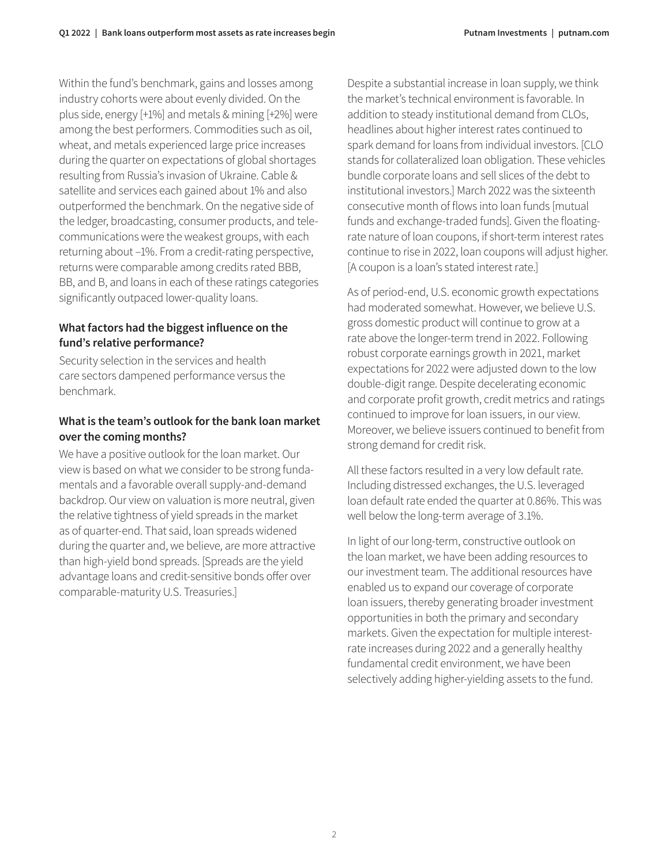Within the fund's benchmark, gains and losses among industry cohorts were about evenly divided. On the plus side, energy [+1%] and metals & mining [+2%] were among the best performers. Commodities such as oil, wheat, and metals experienced large price increases during the quarter on expectations of global shortages resulting from Russia's invasion of Ukraine. Cable & satellite and services each gained about 1% and also outperformed the benchmark. On the negative side of the ledger, broadcasting, consumer products, and telecommunications were the weakest groups, with each returning about –1%. From a credit-rating perspective, returns were comparable among credits rated BBB, BB, and B, and loans in each of these ratings categories significantly outpaced lower-quality loans.

# **What factors had the biggest influence on the fund's relative performance?**

Security selection in the services and health care sectors dampened performance versus the benchmark.

# **What is the team's outlook for the bank loan market over the coming months?**

We have a positive outlook for the loan market. Our view is based on what we consider to be strong fundamentals and a favorable overall supply-and-demand backdrop. Our view on valuation is more neutral, given the relative tightness of yield spreads in the market as of quarter-end. That said, loan spreads widened during the quarter and, we believe, are more attractive than high-yield bond spreads. [Spreads are the yield advantage loans and credit-sensitive bonds offer over comparable-maturity U.S. Treasuries.]

Despite a substantial increase in loan supply, we think the market's technical environment is favorable. In addition to steady institutional demand from CLOs, headlines about higher interest rates continued to spark demand for loans from individual investors. [CLO stands for collateralized loan obligation. These vehicles bundle corporate loans and sell slices of the debt to institutional investors.] March 2022 was the sixteenth consecutive month of flows into loan funds [mutual funds and exchange-traded funds]. Given the floatingrate nature of loan coupons, if short-term interest rates continue to rise in 2022, loan coupons will adjust higher. [A coupon is a loan's stated interest rate.]

As of period-end, U.S. economic growth expectations had moderated somewhat. However, we believe U.S. gross domestic product will continue to grow at a rate above the longer-term trend in 2022. Following robust corporate earnings growth in 2021, market expectations for 2022 were adjusted down to the low double-digit range. Despite decelerating economic and corporate profit growth, credit metrics and ratings continued to improve for loan issuers, in our view. Moreover, we believe issuers continued to benefit from strong demand for credit risk.

All these factors resulted in a very low default rate. Including distressed exchanges, the U.S. leveraged loan default rate ended the quarter at 0.86%. This was well below the long-term average of 3.1%.

In light of our long-term, constructive outlook on the loan market, we have been adding resources to our investment team. The additional resources have enabled us to expand our coverage of corporate loan issuers, thereby generating broader investment opportunities in both the primary and secondary markets. Given the expectation for multiple interestrate increases during 2022 and a generally healthy fundamental credit environment, we have been selectively adding higher-yielding assets to the fund.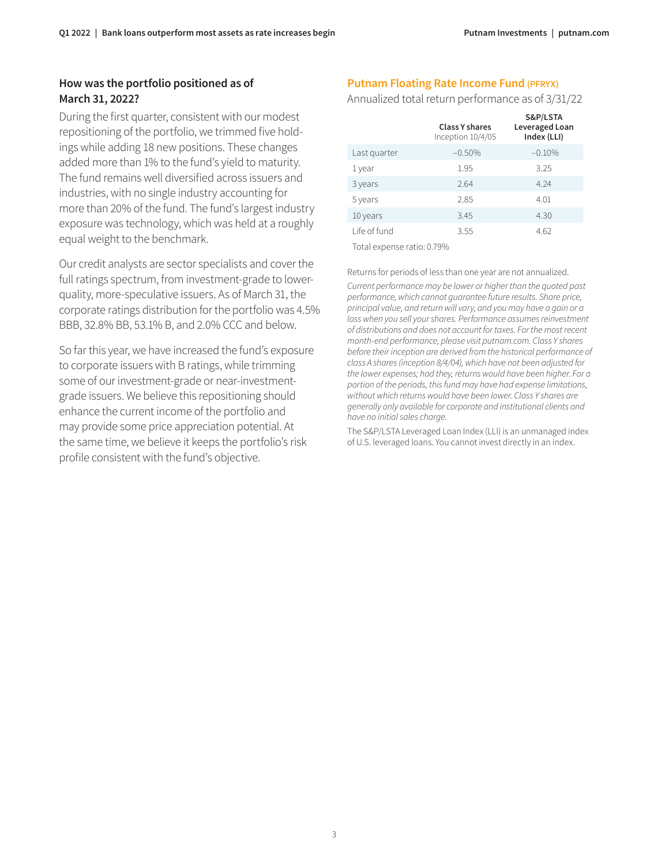## **How was the portfolio positioned as of March 31, 2022?**

During the first quarter, consistent with our modest repositioning of the portfolio, we trimmed five holdings while adding 18 new positions. These changes added more than 1% to the fund's yield to maturity. The fund remains well diversified across issuers and industries, with no single industry accounting for more than 20% of the fund. The fund's largest industry exposure was technology, which was held at a roughly equal weight to the benchmark.

Our credit analysts are sector specialists and cover the full ratings spectrum, from investment-grade to lowerquality, more-speculative issuers. As of March 31, the corporate ratings distribution for the portfolio was 4.5% BBB, 32.8% BB, 53.1% B, and 2.0% CCC and below.

So far this year, we have increased the fund's exposure to corporate issuers with B ratings, while trimming some of our investment-grade or near-investmentgrade issuers. We believe this repositioning should enhance the current income of the portfolio and may provide some price appreciation potential. At the same time, we believe it keeps the portfolio's risk profile consistent with the fund's objective.

#### **Putnam Floating Rate Income Fund (PFRYX)**

#### Annualized total return performance as of 3/31/22

|                                      | <b>Class Y shares</b><br>Inception 10/4/05 | S&P/LSTA<br>Leveraged Loan<br>Index (LLI) |
|--------------------------------------|--------------------------------------------|-------------------------------------------|
| Last quarter                         | $-0.50%$                                   | $-0.10%$                                  |
| 1 year                               | 1.95                                       | 3.25                                      |
| 3 years                              | 2.64                                       | 4.24                                      |
| 5 years                              | 2.85                                       | 4.01                                      |
| 10 years                             | 3.45                                       | 4.30                                      |
| Life of fund                         | 3.55                                       | 4.62                                      |
| $T - L = 1 - \cdots - L = 1 - L = 0$ |                                            |                                           |

Total expense ratio: 0.79%

Returns for periods of less than one year are not annualized. *Current performance may be lower or higher than the quoted past performance, which cannot guarantee future results. Share price, principal value, and return will vary, and you may have a gain or a loss when you sell your shares. Performance assumes reinvestment of distributions and does not account for taxes. For the most recent month-end performance, please visit [putnam.com.](https://www.putnam.com?ref=TL096.pdf) Class Y shares before their inception are derived from the historical performance of class A shares (inception 8/4/04), which have not been adjusted for the lower expenses; had they, returns would have been higher. For a portion of the periods, this fund may have had expense limitations, without which returns would have been lower. Class Y shares are generally only available for corporate and institutional clients and have no initial sales charge.* 

The S&P/LSTA Leveraged Loan Index (LLI) is an unmanaged index of U.S. leveraged loans. You cannot invest directly in an index.